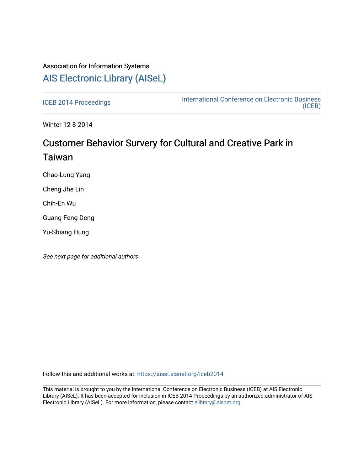# Association for Information Systems [AIS Electronic Library \(AISeL\)](https://aisel.aisnet.org/)

[ICEB 2014 Proceedings](https://aisel.aisnet.org/iceb2014) **International Conference on Electronic Business** [\(ICEB\)](https://aisel.aisnet.org/iceb) 

Winter 12-8-2014

# Customer Behavior Survery for Cultural and Creative Park in Taiwan

Chao-Lung Yang

Cheng Jhe Lin

Chih-En Wu

Guang-Feng Deng

Yu-Shiang Hung

See next page for additional authors

Follow this and additional works at: [https://aisel.aisnet.org/iceb2014](https://aisel.aisnet.org/iceb2014?utm_source=aisel.aisnet.org%2Ficeb2014%2F48&utm_medium=PDF&utm_campaign=PDFCoverPages)

This material is brought to you by the International Conference on Electronic Business (ICEB) at AIS Electronic Library (AISeL). It has been accepted for inclusion in ICEB 2014 Proceedings by an authorized administrator of AIS Electronic Library (AISeL). For more information, please contact [elibrary@aisnet.org.](mailto:elibrary@aisnet.org%3E)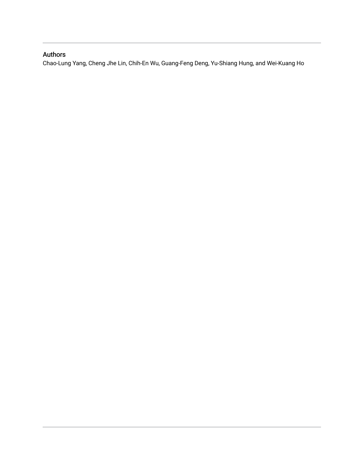## Authors

Chao-Lung Yang, Cheng Jhe Lin, Chih-En Wu, Guang-Feng Deng, Yu-Shiang Hung, and Wei-Kuang Ho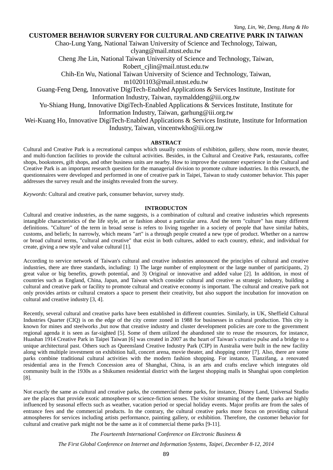## **CUSTOMER BEHAVIOR SURVERY FOR CULTURAL AND CREATIVE PARK IN TAIWAN**

Chao-Lung Yang, National Taiwan University of Science and Technology, Taiwan, [clyang@mail.ntust.edu.tw](mailto:clyang@mail.ntust.edu.tw)

Cheng Jhe Lin, National Taiwan University of Science and Technology, Taiwan,

[Robert\\_cjlin@mail.ntust.edu.tw](mailto:Robert_cjlin@mail.ntust.edu.tw)

Chih-En Wu, National Taiwan University of Science and Technology, Taiwan,

[m10201103@mail.ntust.edu.tw](mailto:m10201103@mail.ntust.edu.tw)

Guang-Feng Deng, Innovative DigiTech-Enabled Applications & Services Institute, Institute for Information Industry, Taiwan, [raymalddeng@iii.org.tw](mailto:raymalddeng@iii.org.tw)

Yu-Shiang Hung, Innovative DigiTech-Enabled Applications & Services Institute, Institute for Information Industry, Taiwan, [garhung@iii.org.tw](mailto:garhung@iii.org.tw)

Wei-Kuang Ho, Innovative DigiTech-Enabled Applications & Services Institute, Institute for Information Industry, Taiwan, [vincentwkho@iii.org.tw](mailto:vincentwkho@iii.org.tw)

### **ABSTRACT**

Cultural and Creative Park is a recreational campus which usually consists of exhibition, gallery, show room, movie theater, and multi-function facilities to provide the cultural activities. Besides, in the Cultural and Creative Park, restaurants, coffee shops, bookstores, gift shops, and other business units are nearby. How to improve the customer experience in the Cultural and Creative Park is an important research question for the managerial division to promote culture industries. In this research, the questionnaires were developed and performed in one of creative park in Taipei, Taiwan to study customer behavior. This paper addresses the survey result and the insights revealed from the survey.

*Keywords*: Cultural and creative park, consumer behavior, survey study.

#### **INTRODUCTON**

Cultural and creative industries, as the name suggests, is a combination of cultural and creative industries which represents intangible characteristics of the life style, art or fashion about a particular area. And the term "culture" has many different definitions. "Culture" of the term in broad sense is refers to living together in a society of people that have similar habits, customs, and beliefs; In narrowly, which means "art" is a through people created a new type of product. Whether on a narrow or broad cultural terms, "cultural and creative" that exist in both cultures, added to each country, ethnic, and individual for create, giving a new style and value cultural [1].

According to service network of Taiwan's cultural and creative industries announced the principles of cultural and creative industries, there are three standards, including: 1) The large number of employment or the large number of participants, 2) great value or big benefits, growth potential, and 3) Original or innovative and added value [2]. In addition, in most of countries such as England, China, Japan, and Taiwan which consider cultural and creative as strategic industry, building a cultural and creative park or facility to promote cultural and creative economy is important. The cultural and creative park not only provides artists or cultural creators a space to present their creativity, but also support the incubation for innovation on cultural and creative industry [3, 4].

Recently, several cultural and creative parks have been established in different countries. Similarly, in UK, Sheffield Cultural Industries Quarter (CIQ) is on the edge of the city center zoned in 1988 for businesses in cultural production. This city is known for mines and steelworks ,but now that creative industry and cluster development policies are core to the government regional agenda it is seen as far-sighted [5]. Some of them utilized the abandoned site to reuse the resources, for instance, Huashan 1914 Creative Park in Taipei Taiwan [6] was created in 2007 as the heart of Taiwan's creative pulse and a bridge to a unique architectural past. Others such as Queensland Creative Industry Park (CIP) in Australia were built in the new facility along with multiple investment on exhibition hall, concert arena, movie theater, and shopping center [7]. Also, there are some parks combine traditional cultural activities with the modern fashion shopping. For instance, Tianzifang, a renovated residential area in the French Concession area of Shanghai, China, is an arts and crafts enclave which integrates old community built in the 1930s as a Shikumen residential district with the largest shopping malls in Shanghai upon completion [8].

Not exactly the same as cultural and creative parks, the commercial theme parks, for instance, Disney Land, Universal Studio are the places that provide exotic atmospheres or science-fiction senses. The visitor streaming of the theme parks are highly influenced by seasonal effects such as weather, vacation period or special holiday events. Major profits are from the sales of entrance fees and the commercial products. In the contrary, the cultural creative parks more focus on providing cultural atmospheres for services including artists performance, painting gallery, or exhibition. Therefore, the customer behavior for cultural and creative park might not be the same as it of commercial theme parks [9-11].

*The Fourteenth International Conference on Electronic Business &*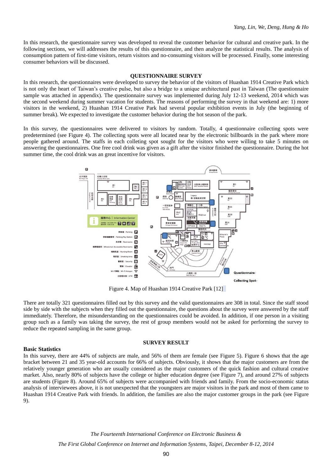In this research, the questionnaire survey was developed to reveal the customer behavior for cultural and creative park. In the following sections, we will addresses the results of this questionnaire, and then analyze the statistical results. The analysis of consumption pattern of first-time visitors, return visitors and no-consuming visitors will be processed. Finally, some interesting consumer behaviors will be discussed.

#### **QUESTIONNAIRE SURVEY**

In this research, the questionnaires were developed to survey the behavior of the visitors of Huashan 1914 Creative Park which is not only the heart of Taiwan's creative pulse, but also a bridge to a unique architectural past in Taiwan (The questionnaire sample was attached in appendix). The questionnaire survey was implemented during July 12-13 weekend, 2014 which was the second weekend during summer vacation for students. The reasons of performing the survey in that weekend are: 1) more visitors in the weekend, 2) Huashan 1914 Creative Park had several popular exhibition events in July (the beginning of summer break). We expected to investigate the customer behavior during the hot season of the park.

In this survey, the questionnaires were delivered to visitors by random. Totally, 4 questionnaire collecting spots were predetermined (see [Figure 4\)](#page-3-0). The collecting spots were all located near by the electronic billboards in the park where more people gathered around. The staffs in each colleting spot sought for the visitors who were willing to take 5 minutes on answering the questionnaires. One free cool drink was given as a gift after the visitor finished the questionnaire. During the hot summer time, the cool drink was an great incentive for visitors.



Figure 4. Map of Huashan 1914 Creative Park [12]

<span id="page-3-0"></span>There are totally 321 questionnaires filled out by this survey and the valid questionnaires are 308 in total. Since the staff stood side by side with the subjects when they filled out the questionnaire, the questions about the survey were answered by the staff immediately. Therefore, the misunderstanding on the questionnaires could be avoided. In addition, if one person in a visiting group such as a family was taking the survey, the rest of group members would not be asked for performing the survey to reduce the repeated sampling in the same group.

#### **SURVEY RESULT**

#### **Basic Statistics**

In this survey, there are 44% of subjects are male, and 56% of them are female (see [Figure 5\)](#page--1-0). [Figure 6](#page--1-1) shows that the age bracket between 21 and 35 year-old accounts for 66% of subjects. Obviously, it shows that the major customers are from the relatively younger generation who are usually considered as the major customers of the quick fashion and cultural creative market. Also, nearly 80% of subjects have the college or higher education degree (see [Figure 7\)](#page--1-2), and around 27% of subjects are students [\(Figure 8\)](#page--1-3). Around 65% of subjects were accompanied with friends and family. From the socio-economic status analysis of interviewees above, it is not unexpected that the youngsters are major visitors in the park and most of them came to Huashan 1914 Creative Park with friends. In addition, the families are also the major customer groups in the park (see [Figure](#page--1-4)  [9\)](#page--1-4).

> *The Fourteenth International Conference on Electronic Business & The First Global Conference on Internet and Information Systems, Taipei, December 8-12, 2014*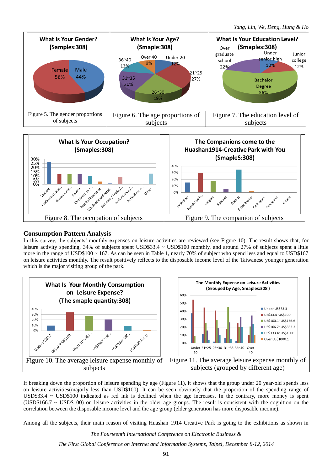

## **Consumption Pattern Analysis**

In this survey, the subjects' monthly expenses on leisure activities are reviewed (see [Figure 10\)](#page-4-0). The result shows that, for leisure activity spending, 34% of subjects spent USD\$33.4 ~ USD\$100 monthly, and around 27% of subjects spent a little more in the range of USD\$100 ~ 167. As can be seen in Table 1, nearly 70% of subject who spend less and equal to USD\$167 on leisure activities monthly. The result positively reflects to the disposable income level of the Taiwanese younger generation which is the major visiting group of the park.



<span id="page-4-0"></span>If breaking down the proportion of leisure spending by age [\(Figure 11\)](#page-4-1), it shows that the group under 20 year-old spends less on leisure activities(majorly less than USD\$100). It can be seen obviously that the proportion of the spending range of USD $$33.4 \sim$  USD $$100$  indicated as red ink is declined when the age increases. In the contrary, more money is spent (USD\$166.7  $\sim$  USD\$100) on leisure activities in the older age groups. The result is consistent with the cognition on the correlation between the disposable income level and the age group (elder generation has more disposable income).

Among all the subjects, their main reason of visiting Huashan 1914 Creative Park is going to the exhibitions as shown in

<span id="page-4-1"></span>*The Fourteenth International Conference on Electronic Business &*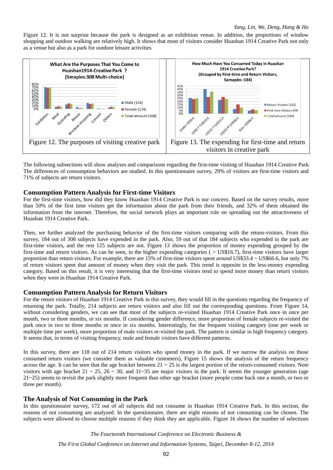[Figure 12.](#page-5-0) It is not surprise because the park is designed as an exhibition venue. In addition, the proportions of window shopping and outdoor walking are relatively high. It shows that most of visitors consider Huashan 1914 Creative Park not only as a venue but also as a park for outdoor leisure activities



<span id="page-5-1"></span><span id="page-5-0"></span>The following subsections will show analyses and comparisons regarding the first-time visiting of Huashan 1914 Creative Park. The differences of consumption behaviors are studied. In this questionnaire survey, 29% of visitors are first-time visitors and 71% of subjects are return visitors.

## **Consumption Pattern Analysis for First-time Visitors**

For the first-time visitors, how did they know Huashan 1914 Creative Park is our concern. Based on the survey results, more than 50% of the first time visitors get the information about the park from their friends, and 32% of them obtained the information from the internet. Therefore, the social network plays an important role on spreading out the attractiveness of Huashan 1914 Creative Park.

Then, we further analyzed the purchasing behavior of the first-time visitors comparing with the return-visitors. From this survey, 184 out of 308 subjects have expended in the park. Also, 59 out of that 184 subjects who expended in the park are first-time visitors, and the rest 125 subjects are not. [Figure 13](#page-5-1) shows the proportion of money expending grouped by the first-time and return visitors. As can be seen, in the higher expending categories ( $>$  US\$16.7), first-time visitors have larger proportion than return visitors. For example, there are 15% of first-time visitors spent around US\$33.4 ~ US\$66.6, but only 7% of return visitors spent that amount of money when they visit the park. This trend is opposite in the less-money expending category. Based on this result, it is very interesting that the first-time visitors tend to spend more money than return visitors when they were in Huashan 1914 Creative Park.

## **Consumption Pattern Analysis for Return Visitors**

For the return visitors of Huashan 1914 Creative Park in this survey, they would fill in the questions regarding the frequency of returning the park. Totally, 214 subjects are return visitors and also fill out the corresponding questions. From [Figure 14,](#page--1-5)  without considering genders, we can see that most of the subjects re-visited Huashan 1914 Creative Park once in once per month, two or three months, or six months. If considering gender difference, more proportion of female subjects re-visited the park once in two to three months or once in six months. Interestingly, for the frequent visiting category (one per week or multiple time per week), more proportion of male visitors re-visited the park. The pattern is similar in high frequency category. It seems that, in terms of visiting frequency, male and female visitors have different patterns.

In this survey, there are 118 out of 214 return visitors who spend money in the park. If we narrow the analysis on those consumed return visitors (we consider them as valuable customers), [Figure 15](#page--1-6) shows the analysis of the return frequency across the age. It can be seen that the age bracket between  $21 \sim 25$  is the largest portion of the return-consumed visitors. Note visitors with age bracket 21 ~ 25, 26 ~ 30, and 31~35 are major visitors in the park. It seems the younger generation (age 21~25) seems to revisit the park slightly more frequent than other age bracket (more people come back one a month, or two or three per month).

## **The Analysis of Not Consuming in the Park**

In this questionnaire survey, 172 out of all subjects did not consume in Huashan 1914 Creative Park. In this section, the reasons of not consuming are analyzed. In the questionnaire, there are eight reasons of not consuming can be chosen. The subjects were allowed to choose multiple reasons if they think they are applicable. [Figure 16](#page--1-7) shows the number of selections

*The Fourteenth International Conference on Electronic Business &*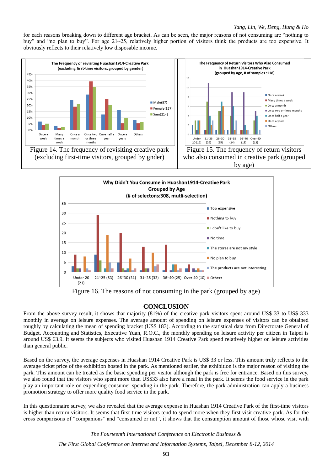for each reasons breaking down to different age bracket. As can be seen, the major reasons of not consuming are "nothing to buy" and "no plan to buy". For age 21~25, relatively higher portion of visitors think the products are too expensive. It obviously reflects to their relatively low disposable income.





Figure 16. The reasons of not consuming in the park (grouped by age)

## **CONCLUSION**

From the above survey result, it shows that majority  $(81%)$  of the creative park visitors spent around US\$ 33 to US\$ 333 monthly in average on leisure expenses. The average amount of spending on leisure expenses of visitors can be obtained roughly by calculating the mean of spending bracket (US\$ 183). According to the statistical data from Directorate General of Budget, Accounting and Statistics, Executive Yuan, R.O.C., the monthly spending on leisure activity per citizen in Taipei is around US\$ 63.9. It seems the subjects who visited Huashan 1914 Creative Park spend relatively higher on leisure activities than general public.

Based on the survey, the average expenses in Huashan 1914 Creative Park is US\$ 33 or less. This amount truly reflects to the average ticket price of the exhibition hosted in the park. As mentioned earlier, the exhibition is the major reason of visiting the park. This amount can be treated as the basic spending per visitor although the park is free for entrance. Based on this survey, we also found that the visitors who spent more than US\$33 also have a meal in the park. It seems the food service in the park play an important role on expending consumer spending in the park. Therefore, the park administration can apply a business promotion strategy to offer more quality food service in the park.

In this questionnaire survey, we also revealed that the average expense in Huashan 1914 Creative Park of the first-time visitors is higher than return visitors. It seems that first-time visitors tend to spend more when they first visit creative park. As for the cross comparisons of "companions" and "consumed or not", it shows that the consumption amount of those whose visit with

*The Fourteenth International Conference on Electronic Business &*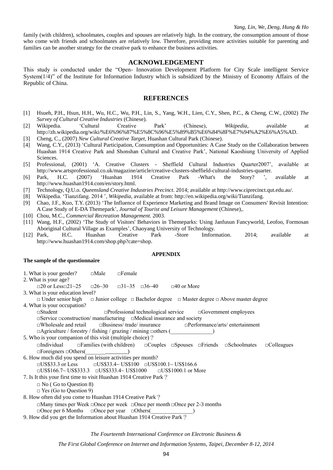family (with children), schoolmates, couples and spouses are relatively high. In the contrary, the consumption amount of those who come with friends and schoolmates are relatively low. Therefore, providing more activities suitable for parenting and families can be another strategy for the creative park to enhance the business activities.

## **ACKNOWLEDGEMENT**

This study is conducted under the "Open- Innovation Development Platform for City Scale intelligent Service System $(1/4)$ " of the Institute for Information Industry which is subsidized by the Ministry of Economy Affairs of the Republic of China.

## **REFERENCES**

- [1] Hsueh, P.H., Hsun, H.H., Wu, H.C., Wu, P.H., Lin, S., Yang, W.H., Lien, C.Y., Shen, P.C., & Cheng, C.W., (2002) *The Survey of Cultural Creative Industries* (Chinese).
- [2] Wikipedia. 'Cultural Creative Park' (Chinese), *Wikipedia*, available at http://zh.wikipedia.org/wiki/%E6%96%87%E5%8C%96%E5%89%B5%E6%84%8F%E7%94%A2%E6%A5%AD.
- [3] Cheng, C., (2007) *New Cultural Creative Target*, Huashan Cultural Park (Chinese).
- [4] Wang, C.Y., (2013) 'Cultural Participation, Consumption and Opportunities: A Case Study on the Collaboration between Huashan 1914 Creative Park and Shonshan Cultural and Creative Park', National Kaoshiung University of Applied Sciences.
- [5] Professional, (2001) 'A. Creative Clusters Sheffield Cultural Industries Quarter2007', available at http://www.artsprofessional.co.uk/magazine/article/creative-clusters-sheffield-cultural-industries-quarter.
- [6] Park, H.C. (2007) 'Huashan 1914 Creative Park -What's the Story? ', available at http://www.huashan1914.com/en/story.html.
- [7] Technology, Q.U.o. *Queensland Creative Industries Precinct*. 2014; available at http://www.ciprecinct.qut.edu.au/.
- [8] Wikipedia. 'Tianzifang. 2014 ', *Wikipedia*, available at from: http://en.wikipedia.org/wiki/Tianzifang.
- [9] Chao, J.F., Kuo, T.Y. (2013) 'The Influence of Experience Marketing and Brand Image on Consumers' Revisit Intention: A Case Study of E-DA Themepark', *Journal of Tourist and Leisure Management* (Chinese),.
- [10] Chou, M.C., *Commercial Recreation Management.* 2003.
- [11] Wang, H.F., (2002) 'The Study of Visitors' Behaviors in Themeparks: Using Janfusun Fancyworld, Leofoo, Formosan Aboriginal Cultural Village as Examples', Chaoyang University of Technology.
- [12] Park, H.C. Huashan Creative Park -Store Imformation. 2014; available at http://www.huashan1914.com/shop.php?cate=shop.

## **APPENDIX**

## **The sample of the questionnaire**

- 1. What is your gender? □Male □Female
- 2. What is your age?
	- $\Box$ 20 or Less $\Box$ 21~25  $\Box$ 26~30  $\Box$ 31~35  $\Box$ 36~40  $\Box$ 40 or More
- 3. What is your education level?
- □ Under senior high □ Junior college □ Bachelor degree □ Master degree □ Above master degree 4. What is your occupation?

□Student □Professional technological service □Government employees

□Service □construction/ manufacturing □Medical insurance and society

□Wholesale and retail □Business/ trade/ insurance □Performance/arts/ entertainment

□Agriculture / forestry / fishing / grazing / mining □others (\_\_\_\_\_\_\_\_\_\_\_\_\_\_\_)

5. Who is your companion of this visit (multiple choice)?

□Individual □Families (with children) □Couples □Spouses □Friends □Schoolmates □Colleagues  $\Box$ Foreigners  $\Box$ Others(

6. How much did you spend on leisure activities per month?  $\Box$ US\$33.3 or Less  $\Box$ US\$33.4~ US\$100  $\Box$ US\$100.1~ US\$166.6

□US\$166.7~ US\$333.3 □US\$333.4~ US\$1000 □US\$1000.1 or More

- 7. Is It this your first time to visit Huashan 1914 Creative Park?
	- □ No ( Go to Question 8)
	- □ Yes (Go to Question 9)
- 8. How often did you come to Huashan 1914 Creative Park? □Many times per Week □Once per week □Once per month □Once per 2-3 months □Once per 6 Months □Once per year □Others(
- 9. How did you get the Information about Huashan 1914 Creative Park?

*The Fourteenth International Conference on Electronic Business &*